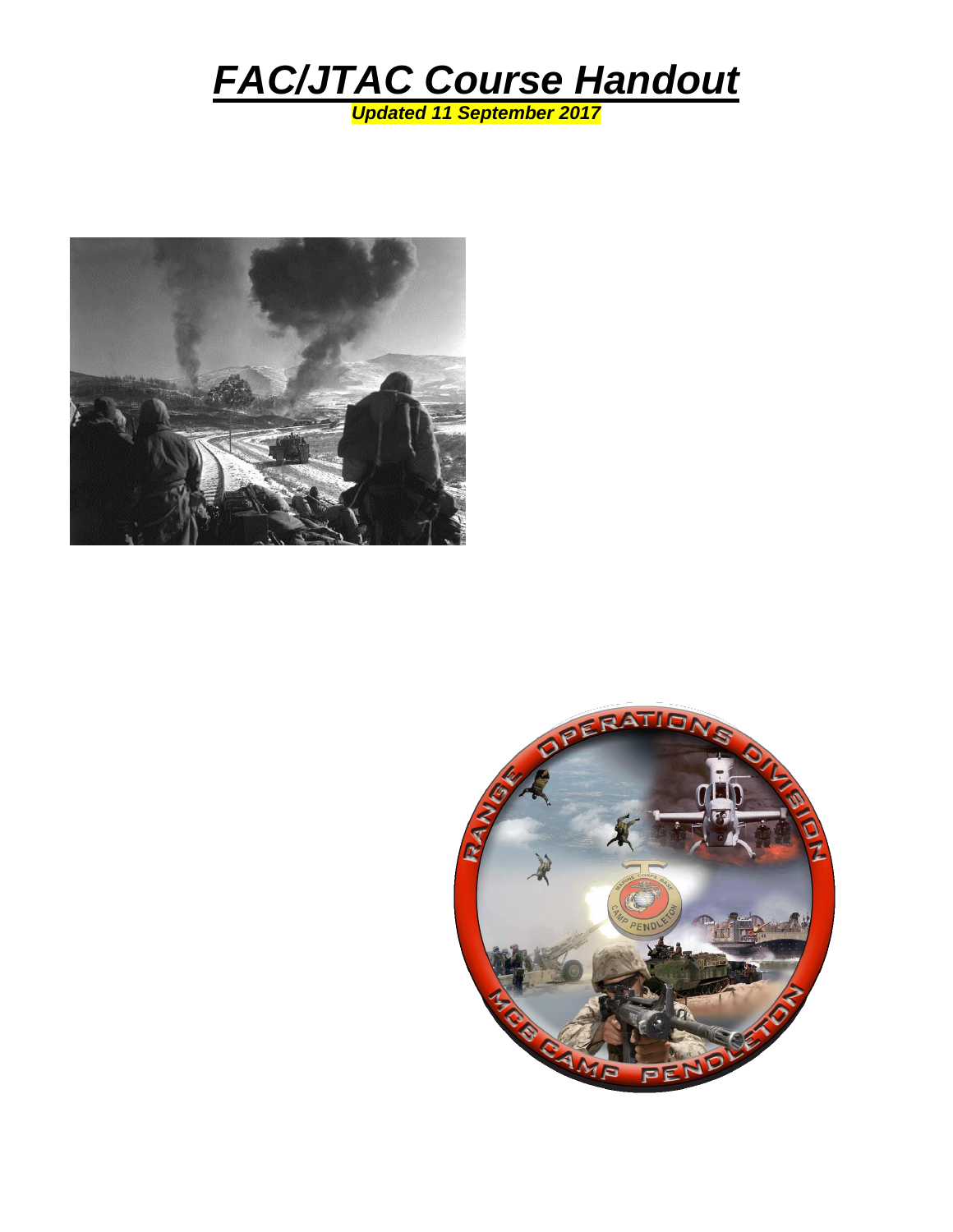



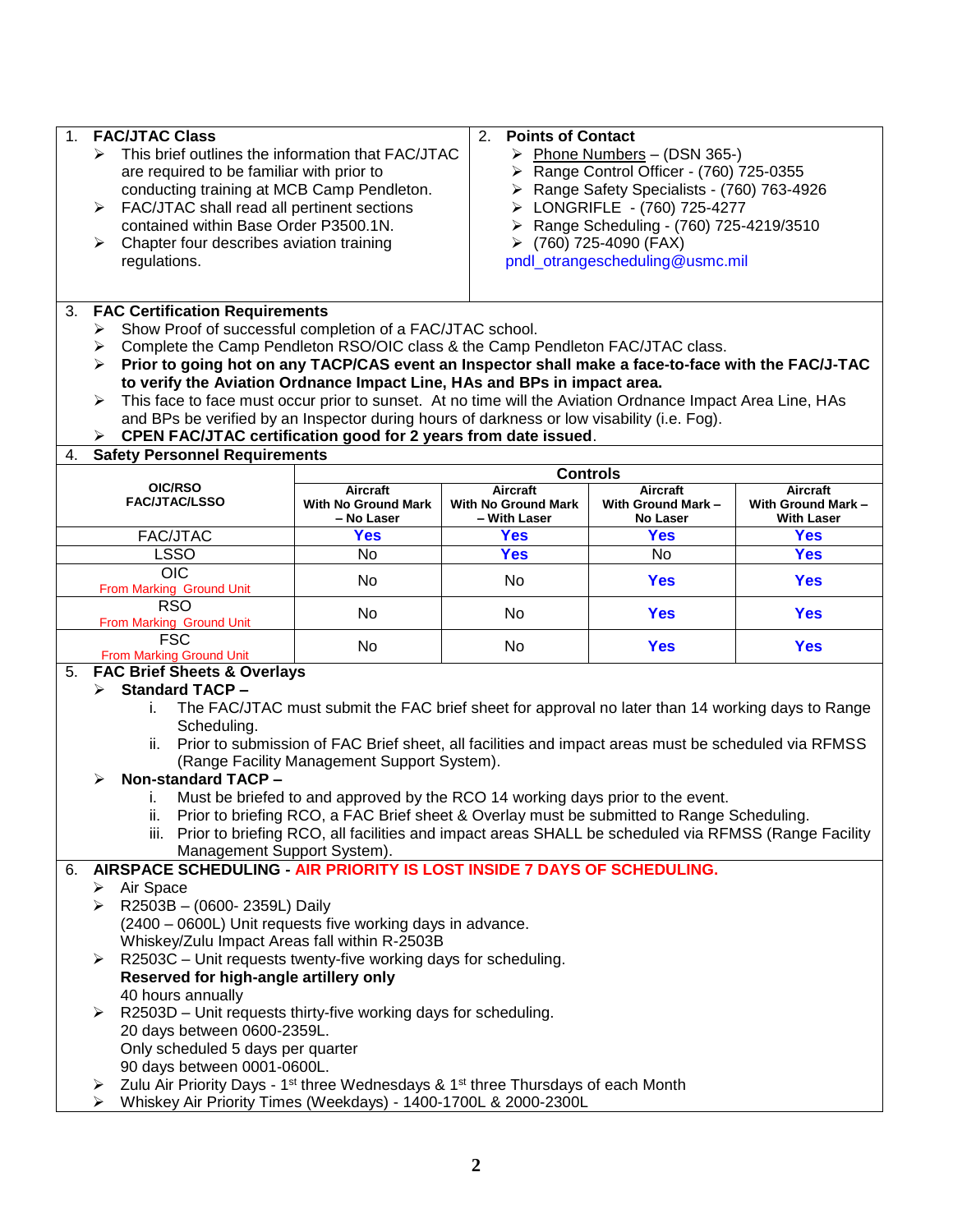| 1. | <b>FAC/JTAC Class</b>                                                                                          | 2.<br><b>Points of Contact</b>                                                                                                                   |                                             |                                 |                   |  |  |
|----|----------------------------------------------------------------------------------------------------------------|--------------------------------------------------------------------------------------------------------------------------------------------------|---------------------------------------------|---------------------------------|-------------------|--|--|
|    | $\triangleright$ This brief outlines the information that FAC/JTAC                                             |                                                                                                                                                  | > Phone Numbers - (DSN 365-)                |                                 |                   |  |  |
|    | are required to be familiar with prior to                                                                      |                                                                                                                                                  | > Range Control Officer - (760) 725-0355    |                                 |                   |  |  |
|    | conducting training at MCB Camp Pendleton.                                                                     |                                                                                                                                                  | > Range Safety Specialists - (760) 763-4926 |                                 |                   |  |  |
|    | FAC/JTAC shall read all pertinent sections<br>➤                                                                |                                                                                                                                                  | > LONGRIFLE - (760) 725-4277                |                                 |                   |  |  |
|    | contained within Base Order P3500.1N.                                                                          |                                                                                                                                                  | > Range Scheduling - (760) 725-4219/3510    |                                 |                   |  |  |
|    | Chapter four describes aviation training<br>➤                                                                  |                                                                                                                                                  | $(760)$ 725-4090 (FAX)                      |                                 |                   |  |  |
|    | regulations.                                                                                                   |                                                                                                                                                  |                                             | pndl_otrangescheduling@usmc.mil |                   |  |  |
|    |                                                                                                                |                                                                                                                                                  |                                             |                                 |                   |  |  |
| 3. | <b>FAC Certification Requirements</b>                                                                          |                                                                                                                                                  |                                             |                                 |                   |  |  |
|    |                                                                                                                |                                                                                                                                                  |                                             |                                 |                   |  |  |
|    | ⋗                                                                                                              | Show Proof of successful completion of a FAC/JTAC school.<br>➤<br>Complete the Camp Pendleton RSO/OIC class & the Camp Pendleton FAC/JTAC class. |                                             |                                 |                   |  |  |
|    | Prior to going hot on any TACP/CAS event an Inspector shall make a face-to-face with the FAC/J-TAC<br>⋗        |                                                                                                                                                  |                                             |                                 |                   |  |  |
|    | to verify the Aviation Ordnance Impact Line, HAs and BPs in impact area.                                       |                                                                                                                                                  |                                             |                                 |                   |  |  |
|    | This face to face must occur prior to sunset. At no time will the Aviation Ordnance Impact Area Line, HAs<br>➤ |                                                                                                                                                  |                                             |                                 |                   |  |  |
|    | and BPs be verified by an Inspector during hours of darkness or low visability (i.e. Fog).                     |                                                                                                                                                  |                                             |                                 |                   |  |  |
|    | CPEN FAC/JTAC certification good for 2 years from date issued.                                                 |                                                                                                                                                  |                                             |                                 |                   |  |  |
| 4. | <b>Safety Personnel Requirements</b>                                                                           |                                                                                                                                                  |                                             |                                 |                   |  |  |
|    |                                                                                                                |                                                                                                                                                  | <b>Controls</b>                             |                                 |                   |  |  |
|    | OIC/RSO                                                                                                        | Aircraft                                                                                                                                         | <b>Aircraft</b>                             | <b>Aircraft</b>                 | Aircraft          |  |  |
|    | <b>FAC/JTAC/LSSO</b>                                                                                           | <b>With No Ground Mark</b>                                                                                                                       | <b>With No Ground Mark</b>                  | With Ground Mark-               | With Ground Mark- |  |  |
|    |                                                                                                                | – No Laser                                                                                                                                       | – With Laser                                | No Laser                        | <b>With Laser</b> |  |  |
|    | FAC/JTAC                                                                                                       | <b>Yes</b>                                                                                                                                       | <b>Yes</b>                                  | <b>Yes</b>                      | <b>Yes</b>        |  |  |
|    | <b>LSSO</b><br>$\overline{OC}$                                                                                 | No                                                                                                                                               | <b>Yes</b>                                  | No                              | <b>Yes</b>        |  |  |
|    | From Marking Ground Unit                                                                                       | No                                                                                                                                               | No                                          | <b>Yes</b>                      | <b>Yes</b>        |  |  |
|    | <b>RSO</b>                                                                                                     | No                                                                                                                                               | No                                          | <b>Yes</b>                      | <b>Yes</b>        |  |  |
|    | From Marking Ground Unit                                                                                       |                                                                                                                                                  |                                             |                                 |                   |  |  |
|    | <b>FSC</b>                                                                                                     | No                                                                                                                                               | No                                          | <b>Yes</b>                      | <b>Yes</b>        |  |  |
| 5. | <b>From Marking Ground Unit</b><br><b>FAC Brief Sheets &amp; Overlays</b>                                      |                                                                                                                                                  |                                             |                                 |                   |  |  |
|    | <b>Standard TACP -</b><br>↘                                                                                    |                                                                                                                                                  |                                             |                                 |                   |  |  |
|    | i.                                                                                                             | The FAC/JTAC must submit the FAC brief sheet for approval no later than 14 working days to Range                                                 |                                             |                                 |                   |  |  |
|    | Scheduling.                                                                                                    |                                                                                                                                                  |                                             |                                 |                   |  |  |
|    |                                                                                                                | ii. Prior to submission of FAC Brief sheet, all facilities and impact areas must be scheduled via RFMSS                                          |                                             |                                 |                   |  |  |
|    |                                                                                                                | (Range Facility Management Support System).                                                                                                      |                                             |                                 |                   |  |  |
|    | Non-standard TACP -<br>⋗                                                                                       |                                                                                                                                                  |                                             |                                 |                   |  |  |
|    | ι.                                                                                                             | Must be briefed to and approved by the RCO 14 working days prior to the event.                                                                   |                                             |                                 |                   |  |  |
|    |                                                                                                                | ii. Prior to briefing RCO, a FAC Brief sheet & Overlay must be submitted to Range Scheduling.                                                    |                                             |                                 |                   |  |  |
|    |                                                                                                                | iii. Prior to briefing RCO, all facilities and impact areas SHALL be scheduled via RFMSS (Range Facility                                         |                                             |                                 |                   |  |  |
|    | Management Support System).                                                                                    |                                                                                                                                                  |                                             |                                 |                   |  |  |
|    | AIRSPACE SCHEDULING - AIR PRIORITY IS LOST INSIDE 7 DAYS OF SCHEDULING.                                        |                                                                                                                                                  |                                             |                                 |                   |  |  |
| 6. |                                                                                                                |                                                                                                                                                  |                                             |                                 |                   |  |  |
|    | Air Space<br>➤                                                                                                 |                                                                                                                                                  |                                             |                                 |                   |  |  |
|    | R2503B - (0600-2359L) Daily<br>≻                                                                               |                                                                                                                                                  |                                             |                                 |                   |  |  |
|    | (2400 – 0600L) Unit requests five working days in advance.                                                     |                                                                                                                                                  |                                             |                                 |                   |  |  |
|    | Whiskey/Zulu Impact Areas fall within R-2503B                                                                  |                                                                                                                                                  |                                             |                                 |                   |  |  |
|    | R2503C - Unit requests twenty-five working days for scheduling.<br>⋗                                           |                                                                                                                                                  |                                             |                                 |                   |  |  |
|    | Reserved for high-angle artillery only                                                                         |                                                                                                                                                  |                                             |                                 |                   |  |  |
|    | 40 hours annually                                                                                              |                                                                                                                                                  |                                             |                                 |                   |  |  |
|    | R2503D - Unit requests thirty-five working days for scheduling.<br>≻                                           |                                                                                                                                                  |                                             |                                 |                   |  |  |
|    | 20 days between 0600-2359L.                                                                                    |                                                                                                                                                  |                                             |                                 |                   |  |  |
|    | Only scheduled 5 days per quarter                                                                              |                                                                                                                                                  |                                             |                                 |                   |  |  |
|    | 90 days between 0001-0600L.                                                                                    |                                                                                                                                                  |                                             |                                 |                   |  |  |
|    | Zulu Air Priority Days - 1 <sup>st</sup> three Wednesdays & 1 <sup>st</sup> three Thursdays of each Month<br>➤ |                                                                                                                                                  |                                             |                                 |                   |  |  |
|    | Whiskey Air Priority Times (Weekdays) - 1400-1700L & 2000-2300L<br>➤                                           |                                                                                                                                                  |                                             |                                 |                   |  |  |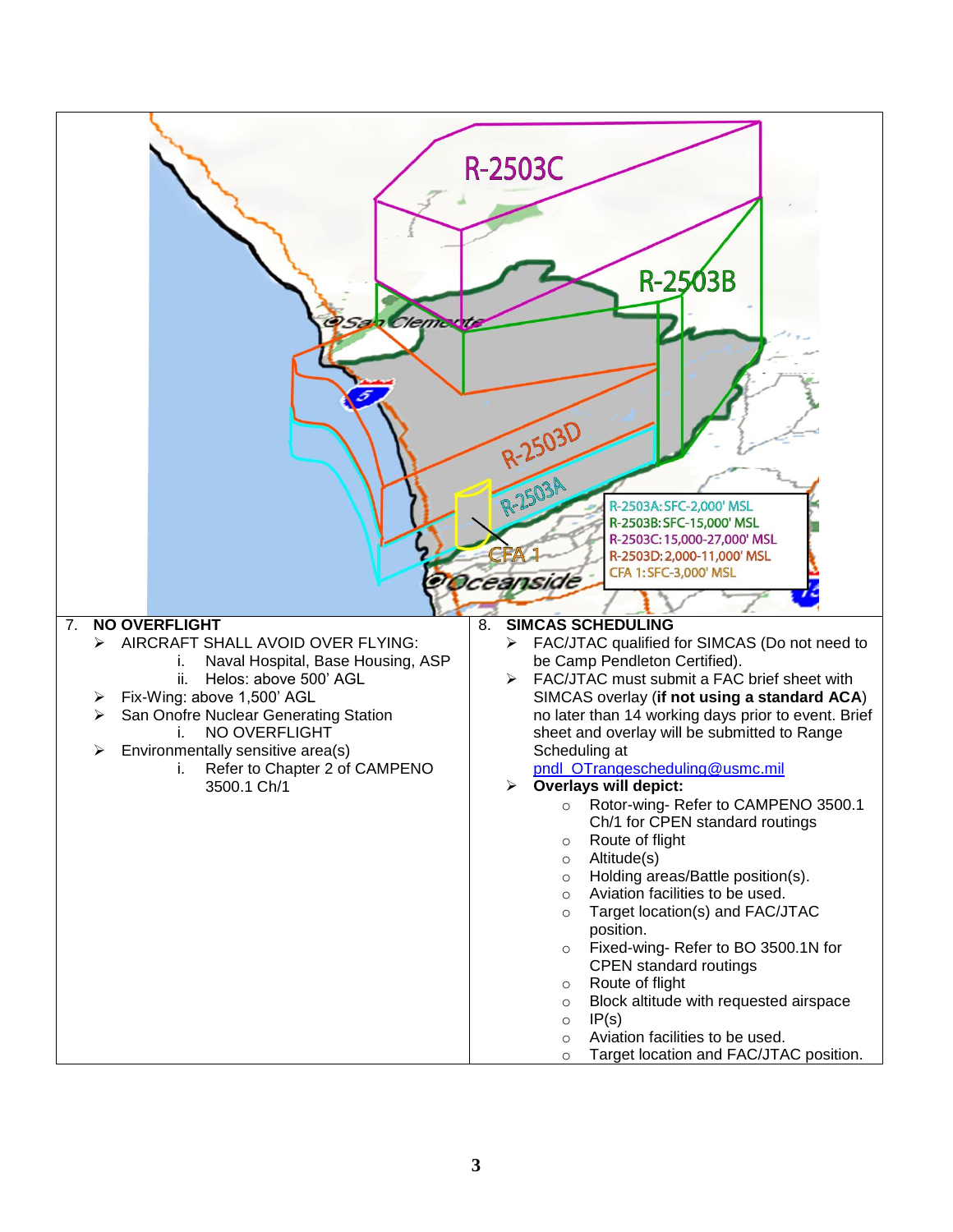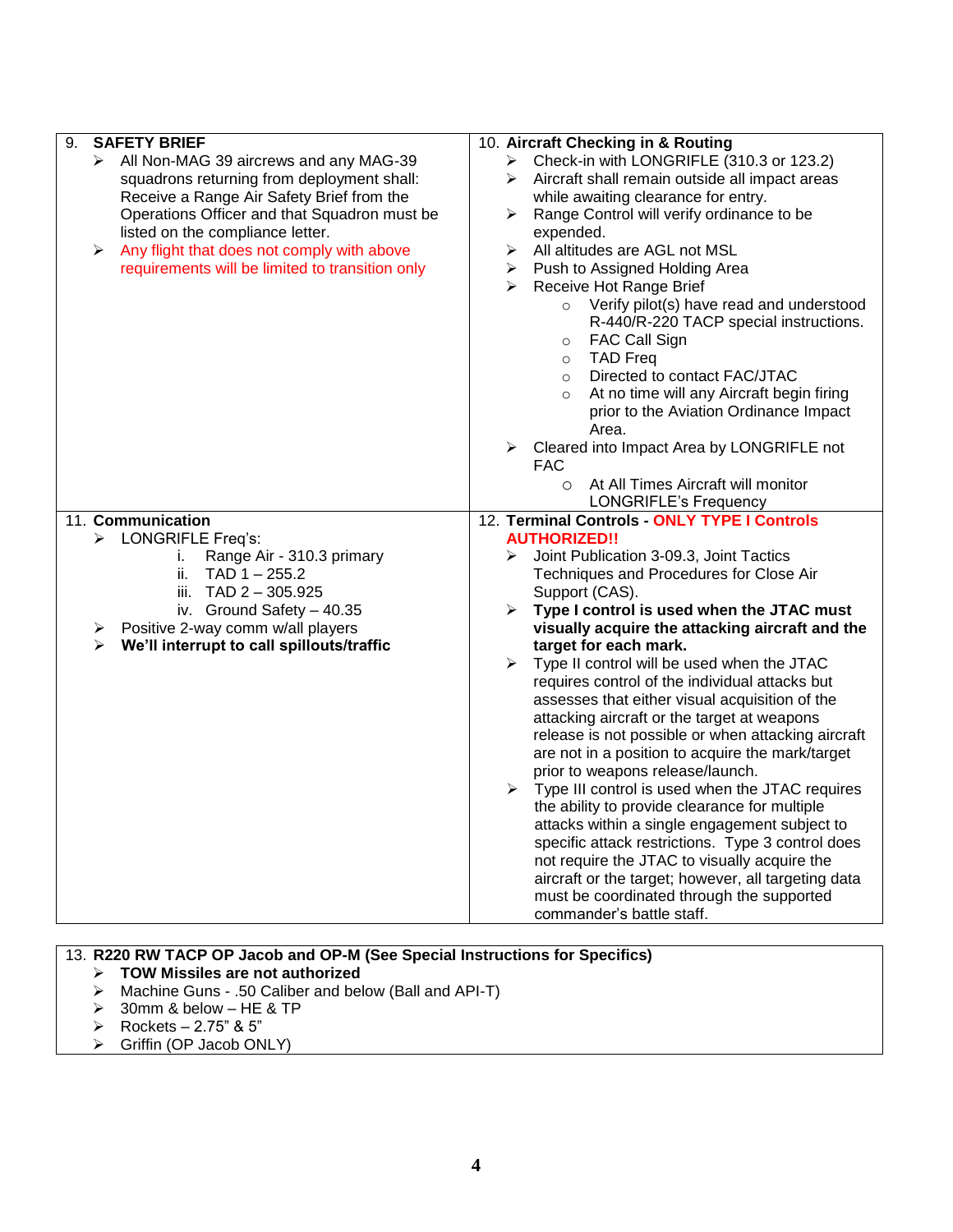| <b>SAFETY BRIEF</b><br>9.                                                                                                                                                                                                                                                                                                     | 10. Aircraft Checking in & Routing                                                                                                                                                                                                                                                                                                                                                                                                                                                                                                                                                                                                                                                                                                                                                                                                                                                                                                                                                                                        |  |  |
|-------------------------------------------------------------------------------------------------------------------------------------------------------------------------------------------------------------------------------------------------------------------------------------------------------------------------------|---------------------------------------------------------------------------------------------------------------------------------------------------------------------------------------------------------------------------------------------------------------------------------------------------------------------------------------------------------------------------------------------------------------------------------------------------------------------------------------------------------------------------------------------------------------------------------------------------------------------------------------------------------------------------------------------------------------------------------------------------------------------------------------------------------------------------------------------------------------------------------------------------------------------------------------------------------------------------------------------------------------------------|--|--|
| > All Non-MAG 39 aircrews and any MAG-39<br>squadrons returning from deployment shall:<br>Receive a Range Air Safety Brief from the<br>Operations Officer and that Squadron must be<br>listed on the compliance letter.<br>Any flight that does not comply with above<br>➤<br>requirements will be limited to transition only | > Check-in with LONGRIFLE (310.3 or 123.2)<br>$\triangleright$ Aircraft shall remain outside all impact areas<br>while awaiting clearance for entry.<br>Range Control will verify ordinance to be<br>➤<br>expended.<br>All altitudes are AGL not MSL<br>➤<br>Push to Assigned Holding Area<br>➤<br>Receive Hot Range Brief<br>➤<br>Verify pilot(s) have read and understood<br>$\circ$<br>R-440/R-220 TACP special instructions.<br>FAC Call Sign<br>$\circ$<br><b>TAD Freq</b><br>$\circ$<br>Directed to contact FAC/JTAC<br>$\circ$<br>At no time will any Aircraft begin firing<br>$\circ$<br>prior to the Aviation Ordinance Impact<br>Area.<br>Cleared into Impact Area by LONGRIFLE not<br>➤<br>FAC<br>At All Times Aircraft will monitor<br>$\circ$<br><b>LONGRIFLE's Frequency</b>                                                                                                                                                                                                                                |  |  |
| 11. Communication                                                                                                                                                                                                                                                                                                             | 12. Terminal Controls - ONLY TYPE I Controls                                                                                                                                                                                                                                                                                                                                                                                                                                                                                                                                                                                                                                                                                                                                                                                                                                                                                                                                                                              |  |  |
| > LONGRIFLE Freq's:<br>Range Air - 310.3 primary<br>i.<br>$TAD 1 - 255.2$<br>ii.<br>iii. TAD 2 - 305.925<br>iv. Ground Safety $-40.35$<br>Positive 2-way comm w/all players<br>➤<br>We'll interrupt to call spillouts/traffic<br>➤                                                                                            | <b>AUTHORIZED!!</b><br>Joint Publication 3-09.3, Joint Tactics<br>Techniques and Procedures for Close Air<br>Support (CAS).<br>Type I control is used when the JTAC must<br>➤<br>visually acquire the attacking aircraft and the<br>target for each mark.<br>Type II control will be used when the JTAC<br>➤<br>requires control of the individual attacks but<br>assesses that either visual acquisition of the<br>attacking aircraft or the target at weapons<br>release is not possible or when attacking aircraft<br>are not in a position to acquire the mark/target<br>prior to weapons release/launch.<br>$\triangleright$ Type III control is used when the JTAC requires<br>the ability to provide clearance for multiple<br>attacks within a single engagement subject to<br>specific attack restrictions. Type 3 control does<br>not require the JTAC to visually acquire the<br>aircraft or the target; however, all targeting data<br>must be coordinated through the supported<br>commander's battle staff. |  |  |

### 13. **R220 RW TACP OP Jacob and OP-M (See Special Instructions for Specifics)**

- **TOW Missiles are not authorized**
- Machine Guns .50 Caliber and below (Ball and API-T)
- $\geq$  30mm & below HE & TP
- Rockets 2.75" & 5"
- $\triangleright$  Griffin (OP Jacob ONLY)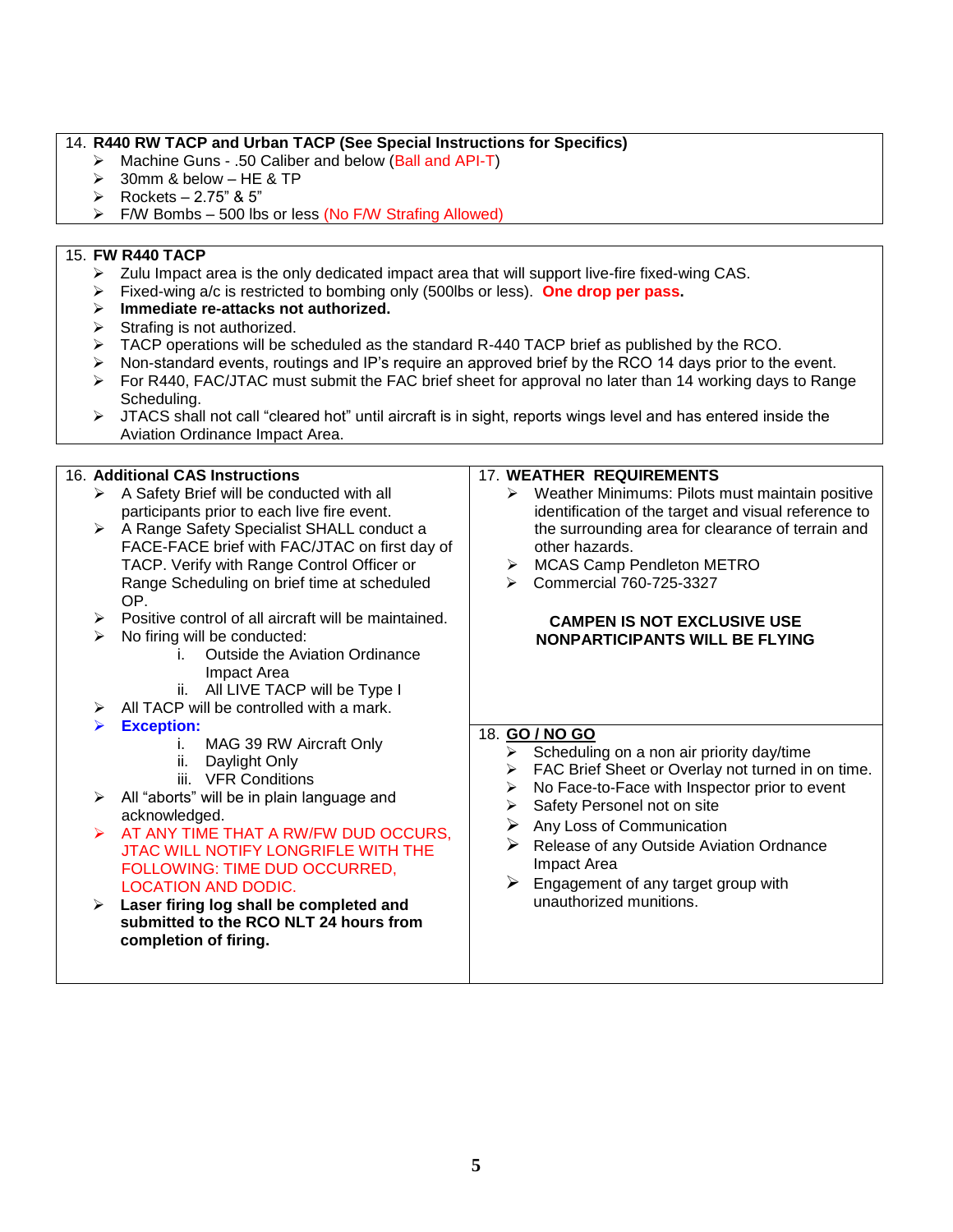#### 14. **R440 RW TACP and Urban TACP (See Special Instructions for Specifics)**

- Machine Guns .50 Caliber and below (Ball and API-T)
- $\geq$  30mm & below HE & TP
- $\triangleright$  Rockets 2.75" & 5"
- $\triangleright$  F/W Bombs 500 lbs or less (No F/W Strafing Allowed)

#### 15. **FW R440 TACP**

- $\triangleright$  Zulu Impact area is the only dedicated impact area that will support live-fire fixed-wing CAS.
- Fixed-wing a/c is restricted to bombing only (500lbs or less). **One drop per pass.**
- **Immediate re-attacks not authorized.**
- $\triangleright$  Strafing is not authorized.
- $\triangleright$  TACP operations will be scheduled as the standard R-440 TACP brief as published by the RCO.
- $\triangleright$  Non-standard events, routings and IP's require an approved brief by the RCO 14 days prior to the event.
- $\triangleright$  For R440, FAC/JTAC must submit the FAC brief sheet for approval no later than 14 working days to Range Scheduling.
- $\triangleright$  JTACS shall not call "cleared hot" until aircraft is in sight, reports wings level and has entered inside the Aviation Ordinance Impact Area.

### 16. **Additional CAS Instructions**

- $\triangleright$  A Safety Brief will be conducted with all participants prior to each live fire event.
- ▶ A Range Safety Specialist SHALL conduct a FACE-FACE brief with FAC/JTAC on first day of TACP. Verify with Range Control Officer or Range Scheduling on brief time at scheduled OP.
- $\triangleright$  Positive control of all aircraft will be maintained.
- $\triangleright$  No firing will be conducted:
	- i. Outside the Aviation Ordinance Impact Area
	- ii. All LIVE TACP will be Type I
- $\triangleright$  All TACP will be controlled with a mark.
- **Exception:** 
	- i. MAG 39 RW Aircraft Only
	- ii. Daylight Only
		- iii. VFR Conditions
- $\triangleright$  All "aborts" will be in plain language and acknowledged.
- $\triangleright$  AT ANY TIME THAT A RW/FW DUD OCCURS. JTAC WILL NOTIFY LONGRIFLE WITH THE FOLLOWING: TIME DUD OCCURRED, LOCATION AND DODIC.
- **Laser firing log shall be completed and submitted to the RCO NLT 24 hours from completion of firing.**

#### 17. **WEATHER REQUIREMENTS**

- $\triangleright$  Weather Minimums: Pilots must maintain positive identification of the target and visual reference to the surrounding area for clearance of terrain and other hazards.
- MCAS Camp Pendleton METRO
- Commercial 760-725-3327

#### **CAMPEN IS NOT EXCLUSIVE USE NONPARTICIPANTS WILL BE FLYING**

#### 18. **GO / NO GO**

- $\triangleright$  Scheduling on a non air priority day/time
- > FAC Brief Sheet or Overlay not turned in on time.
- No Face-to-Face with Inspector prior to event
- $\triangleright$  Safety Personel not on site
- $\triangleright$  Any Loss of Communication
- $\triangleright$  Release of any Outside Aviation Ordnance Impact Area
- $\triangleright$  Engagement of any target group with unauthorized munitions.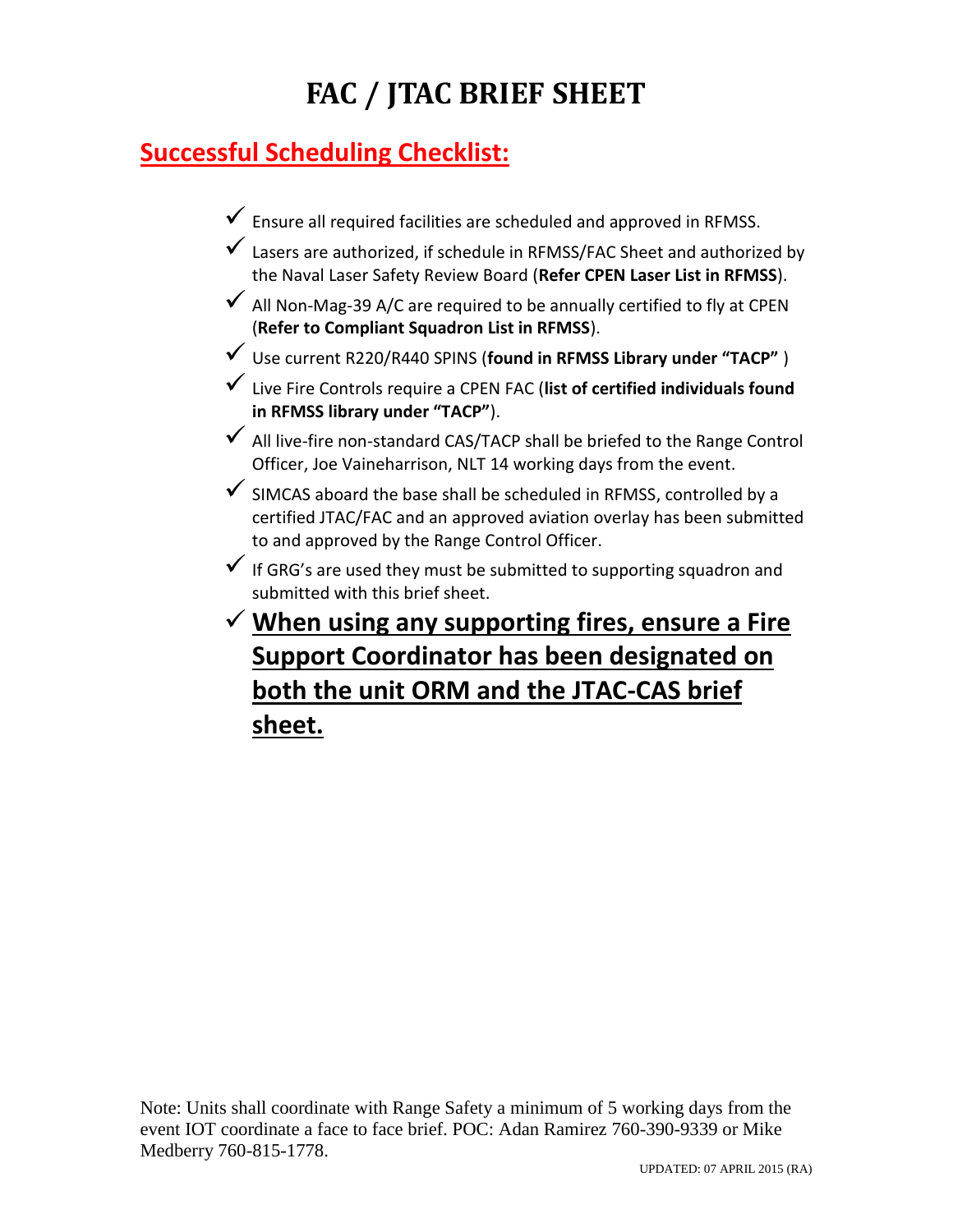# **FAC / JTAC BRIEF SHEET**

## **Successful Scheduling Checklist:**

- $\checkmark$  Ensure all required facilities are scheduled and approved in RFMSS.
- Lasers are authorized, if schedule in RFMSS/FAC Sheet and authorized by the Naval Laser Safety Review Board (**Refer CPEN Laser List in RFMSS**).
- $\checkmark$  All Non-Mag-39 A/C are required to be annually certified to fly at CPEN (**Refer to Compliant Squadron List in RFMSS**).
- Use current R220/R440 SPINS (**found in RFMSS Library under "TACP"** )
- Live Fire Controls require a CPEN FAC (**list of certified individuals found in RFMSS library under "TACP"**).
- $\checkmark$  All live-fire non-standard CAS/TACP shall be briefed to the Range Control Officer, Joe Vaineharrison, NLT 14 working days from the event.
- $\checkmark$  SIMCAS aboard the base shall be scheduled in RFMSS, controlled by a certified JTAC/FAC and an approved aviation overlay has been submitted to and approved by the Range Control Officer.
- $\checkmark$  If GRG's are used they must be submitted to supporting squadron and submitted with this brief sheet.
- **When using any supporting fires, ensure a Fire Support Coordinator has been designated on both the unit ORM and the JTAC-CAS brief sheet.**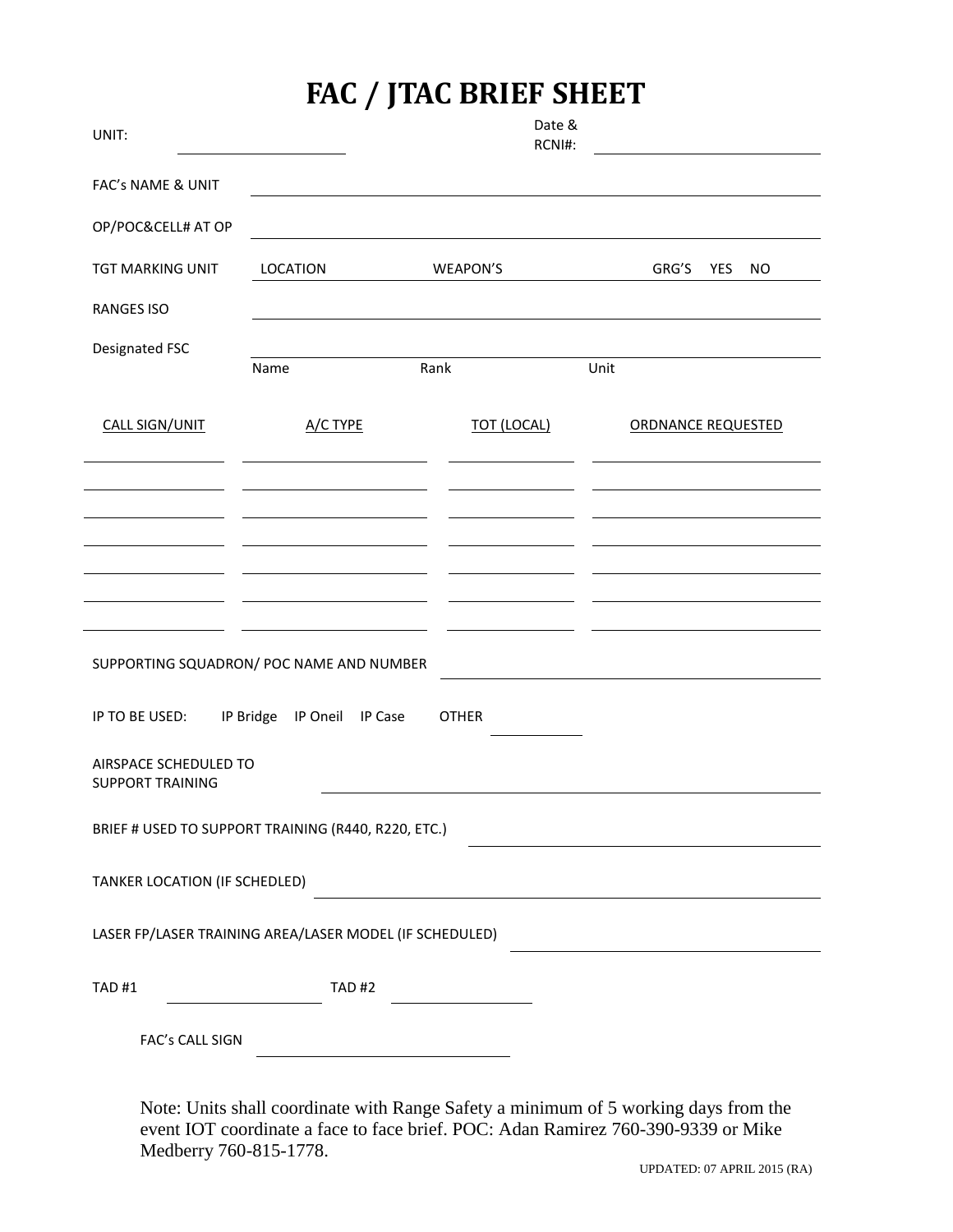## **FAC / JTAC BRIEF SHEET**

| UNIT:                                                              |              | Date &<br>RCNI#:   |                           |  |  |  |  |
|--------------------------------------------------------------------|--------------|--------------------|---------------------------|--|--|--|--|
| FAC's NAME & UNIT                                                  |              |                    |                           |  |  |  |  |
| OP/POC&CELL# AT OP                                                 |              |                    |                           |  |  |  |  |
| <b>TGT MARKING UNIT</b>                                            | LOCATION     | WEAPON'S           | GRG'S<br>YES<br><b>NO</b> |  |  |  |  |
| <b>RANGES ISO</b>                                                  |              |                    |                           |  |  |  |  |
| Designated FSC                                                     | Name         | Rank               | Unit                      |  |  |  |  |
| <b>CALL SIGN/UNIT</b>                                              | A/C TYPE     | <b>TOT (LOCAL)</b> | <b>ORDNANCE REQUESTED</b> |  |  |  |  |
|                                                                    |              |                    |                           |  |  |  |  |
|                                                                    |              |                    |                           |  |  |  |  |
|                                                                    |              |                    |                           |  |  |  |  |
|                                                                    |              |                    |                           |  |  |  |  |
| SUPPORTING SQUADRON/ POC NAME AND NUMBER                           |              |                    |                           |  |  |  |  |
| IP TO BE USED:<br>IP Bridge<br>IP Oneil<br><b>OTHER</b><br>IP Case |              |                    |                           |  |  |  |  |
| AIRSPACE SCHEDULED TO<br><b>SUPPORT TRAINING</b>                   |              |                    |                           |  |  |  |  |
| BRIEF # USED TO SUPPORT TRAINING (R440, R220, ETC.)                |              |                    |                           |  |  |  |  |
| TANKER LOCATION (IF SCHEDLED)                                      |              |                    |                           |  |  |  |  |
| LASER FP/LASER TRAINING AREA/LASER MODEL (IF SCHEDULED)            |              |                    |                           |  |  |  |  |
| <b>TAD#1</b>                                                       | <b>TAD#2</b> |                    |                           |  |  |  |  |
| FAC's CALL SIGN                                                    |              |                    |                           |  |  |  |  |

Note: Units shall coordinate with Range Safety a minimum of 5 working days from the event IOT coordinate a face to face brief. POC: Adan Ramirez 760-390-9339 or Mike Medberry 760-815-1778.